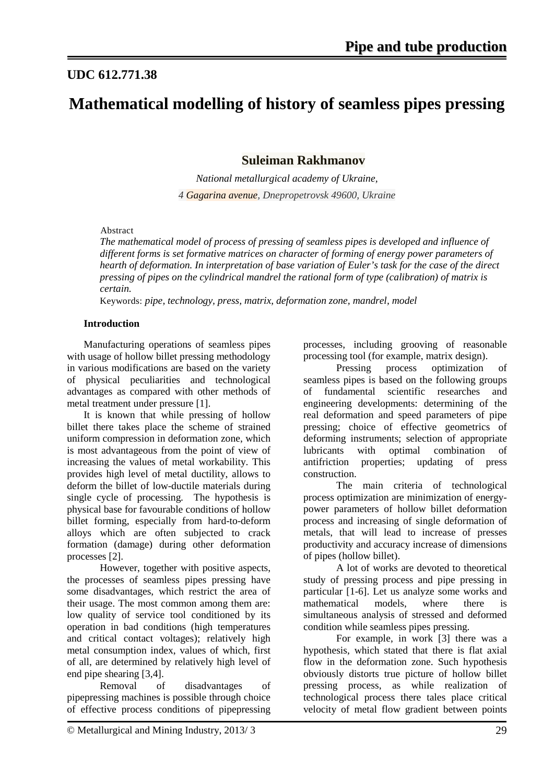## **UDC 612.771.38**

# **Mathematical modelling of history of seamless pipes pressing**

**Suleiman Rakhmanov**

*National metallurgical academy of Ukraine, 4 Gagarina avenue, Dnepropetrovsk 49600, Ukraine*

### Abstract

*The mathematical model of process of pressing of seamless pipes is developed and influence of different forms is set formative matrices on character of forming of energy power parameters of hearth of deformation. In interpretation of base variation of Euler's task for the case of the direct pressing of pipes on the cylindrical mandrel the rational form of type (calibration) of matrix is certain.*

Keywords: *pipe, technology, press, matrix, deformation zone, mandrel, model*

## **Introduction**

Manufacturing operations of seamless pipes with usage of hollow billet pressing methodology in various modifications are based on the variety of physical peculiarities and technological advantages as compared with other methods of metal treatment under pressure [1].

It is known that while pressing of hollow billet there takes place the scheme of strained uniform compression in deformation zone, which is most advantageous from the point of view of increasing the values of metal workability. This provides high level of metal ductility, allows to deform the billet of low-ductile materials during single cycle of processing. The hypothesis is physical base for favourable conditions of hollow billet forming, especially from hard-to-deform alloys which are often subjected to crack formation (damage) during other deformation processes [2].

However, together with positive aspects, the processes of seamless pipes pressing have some disadvantages, which restrict the area of their usage. The most common among them are: low quality of service tool conditioned by its operation in bad conditions (high temperatures and critical contact voltages); relatively high metal consumption index, values of which, first of all, are determined by relatively high level of end pipe shearing [3,4].

Removal of disadvantages of pipepressing machines is possible through choice of effective process conditions of pipepressing processes, including grooving of reasonable processing tool (for example, matrix design).

Pressing process optimization of seamless pipes is based on the following groups of fundamental scientific researches and engineering developments: determining of the real deformation and speed parameters of pipe pressing; choice of effective geometrics of deforming instruments; selection of appropriate lubricants with optimal combination of antifriction properties; updating of press construction.

The main criteria of technological process optimization are minimization of energypower parameters of hollow billet deformation process and increasing of single deformation of metals, that will lead to increase of presses productivity and accuracy increase of dimensions of pipes (hollow billet).

A lot of works are devoted to theoretical study of pressing process and pipe pressing in particular [1-6]. Let us analyze some works and mathematical models, where there is simultaneous analysis of stressed and deformed condition while seamless pipes pressing.

For example, in work [3] there was a hypothesis, which stated that there is flat axial flow in the deformation zone. Such hypothesis obviously distorts true picture of hollow billet pressing process, as while realization of technological process there tales place critical velocity of metal flow gradient between points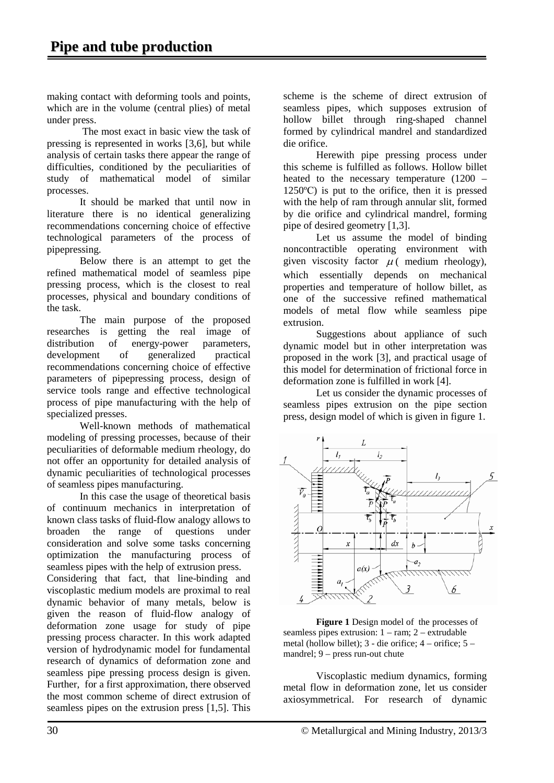making contact with deforming tools and points, which are in the volume (central plies) of metal under press.

The most exact in basic view the task of pressing is represented in works [3,6], but while analysis of certain tasks there appear the range of difficulties, conditioned by the peculiarities of study of mathematical model of similar processes.

It should be marked that until now in literature there is no identical generalizing recommendations concerning choice of effective technological parameters of the process of pipepressing.

Below there is an attempt to get the refined mathematical model of seamless pipe pressing process, which is the closest to real processes, physical and boundary conditions of the task.

The main purpose of the proposed researches is getting the real image of distribution of energy-power parameters, development of generalized practical recommendations concerning choice of effective parameters of pipepressing process, design of service tools range and effective technological process of pipe manufacturing with the help of specialized presses.

Well-known methods of mathematical modeling of pressing processes, because of their peculiarities of deformable medium rheology, do not offer an opportunity for detailed analysis of dynamic peculiarities of technological processes of seamless pipes manufacturing.

In this case the usage of theoretical basis of continuum mechanics in interpretation of known class tasks of fluid-flow analogy allows to broaden the range of questions under consideration and solve some tasks concerning optimization the manufacturing process of seamless pipes with the help of extrusion press. Considering that fact, that line-binding and viscoplastic medium models are proximal to real dynamic behavior of many metals, below is given the reason of fluid-flow analogy of deformation zone usage for study of pipe pressing process character. In this work adapted version of hydrodynamic model for fundamental research of dynamics of deformation zone and seamless pipe pressing process design is given. Further, for a first approximation, there observed the most common scheme of direct extrusion of seamless pipes on the extrusion press [1,5]. This

scheme is the scheme of direct extrusion of seamless pipes, which supposes extrusion of hollow billet through ring-shaped channel formed by cylindrical mandrel and standardized die orifice.

Herewith pipe pressing process under this scheme is fulfilled as follows. Hollow billet heated to the necessary temperature (1200 – 1250ºС) is put to the orifice, then it is pressed with the help of ram through annular slit, formed by die orifice and cylindrical mandrel, forming pipe of desired geometry [1,3].

Let us assume the model of binding noncontractible operating environment with given viscosity factor  $\mu$  (medium rheology), which essentially depends on mechanical properties and temperature of hollow billet, as one of the successive refined mathematical models of metal flow while seamless pipe extrusion.

Suggestions about appliance of such dynamic model but in other interpretation was proposed in the work [3], and practical usage of this model for determination of frictional force in deformation zone is fulfilled in work [4].

Let us consider the dynamic processes of seamless pipes extrusion on the pipe section press, design model of which is given in figure 1.



**Figure 1** Design model of the processes of seamless pipes extrusion: 1 – ram; 2 – extrudable metal (hollow billet); 3 - die orifice; 4 – orifice; 5 – mandrel; 9 – press run-out chute

Viscoplastic medium dynamics, forming metal flow in deformation zone, let us consider axiosymmetrical. For research of dynamic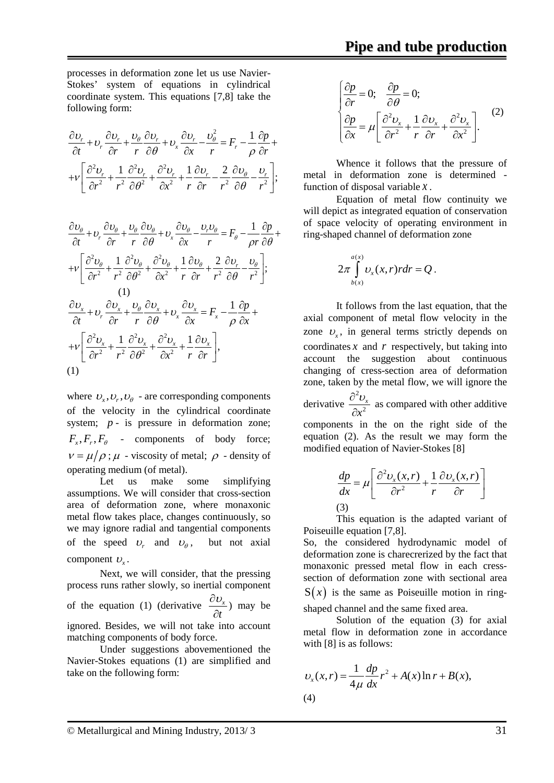processes in deformation zone let us use Navier-Stokes' system of equations in cylindrical coordinate system. This equations [7,8] take the following form:

$$
\frac{\partial v_r}{\partial t} + v_r \frac{\partial v_r}{\partial r} + \frac{v_\theta}{r} \frac{\partial v_r}{\partial \theta} + v_x \frac{\partial v_r}{\partial x} - \frac{v_\theta^2}{r} = F_r - \frac{1}{\rho} \frac{\partial p}{\partial r} + v_r \frac{\partial^2 v_r}{\partial r^2} + \frac{1}{r^2} \frac{\partial^2 v_r}{\partial \theta^2} + \frac{\partial^2 v_r}{\partial x^2} + \frac{1}{r} \frac{\partial v_r}{\partial r} - \frac{2}{r^2} \frac{\partial v_\theta}{\partial \theta} - \frac{v_r}{r^2} \frac{\partial v_r}{\partial \theta} + \frac{1}{r^2} \frac{\partial v_r}{\partial \theta} - \frac{1}{r^2} \frac{\partial v_r}{\partial \theta} + \frac{1}{r^2} \frac{\partial v_r}{\partial \theta} - \frac{1}{r^2} \frac{\partial v_r}{\partial \theta} + \frac{1}{r^2} \frac{\partial v_r}{\partial \theta} - \frac{1}{r^2} \frac{\partial v_r}{\partial \theta} + \frac{1}{r^2} \frac{\partial v_r}{\partial \theta} + \frac{1}{r^2} \frac{\partial v_r}{\partial \theta} - \frac{1}{r^2} \frac{\partial v_r}{\partial \theta} + \frac{1}{r^2} \frac{\partial v_r}{\partial \theta} + \frac{1}{r^2} \frac{\partial v_r}{\partial \theta} + \frac{1}{r^2} \frac{\partial v_r}{\partial \theta} + \frac{1}{r^2} \frac{\partial v_r}{\partial \theta} + \frac{1}{r^2} \frac{\partial v_r}{\partial \theta} + \frac{1}{r^2} \frac{\partial v_r}{\partial \theta} + \frac{1}{r^2} \frac{\partial v_r}{\partial \theta} + \frac{1}{r^2} \frac{\partial v_r}{\partial \theta} + \frac{1}{r^2} \frac{\partial v_r}{\partial \theta} + \frac{1}{r^2} \frac{\partial v_r}{\partial \theta} + \frac{1}{r^2} \frac{\partial v_r}{\partial \theta} + \frac{1}{r^2} \frac{\partial v_r}{\partial \theta} + \frac{1}{r^2} \frac{\partial v_r}{\partial \theta} + \frac{1}{r^2} \frac{\partial v_r}{\partial \theta} + \frac{1}{r^2} \frac{\partial v_r}{\partial \theta} + \frac{1}{r^2} \frac
$$

$$
\frac{\partial v_{\theta}}{\partial t} + v_{r} \frac{\partial v_{\theta}}{\partial r} + \frac{v_{\theta}}{r} \frac{\partial v_{\theta}}{\partial \theta} + v_{x} \frac{\partial v_{\theta}}{\partial x} - \frac{v_{r}v_{\theta}}{r} = F_{\theta} - \frac{1}{\rho r} \frac{\partial p}{\partial \theta} + \frac{1}{\rho r} \frac{\partial^{2} v_{\theta}}{\partial r^{2}} + \frac{1}{r^{2}} \frac{\partial^{2} v_{\theta}}{\partial \theta^{2}} + \frac{\partial^{2} v_{\theta}}{\partial x^{2}} + \frac{1}{r} \frac{\partial v_{\theta}}{\partial r} + \frac{2}{r^{2}} \frac{\partial v_{r}}{\partial \theta} - \frac{v_{\theta}}{r^{2}} \frac{\partial v_{r}}{\partial \theta} + \frac{v_{\theta}}{r^{2}} \frac{\partial v_{x}}{\partial \theta} + v_{r} \frac{\partial v_{x}}{\partial r} + v_{r} \frac{\partial v_{x}}{\partial \theta} + v_{x} \frac{\partial v_{x}}{\partial x} = F_{x} - \frac{1}{\rho} \frac{\partial p}{\partial x} + \frac{1}{r} \frac{\partial^{2} v_{x}}{\partial r^{2}} + \frac{1}{r^{2}} \frac{\partial^{2} v_{x}}{\partial \theta^{2}} + \frac{\partial^{2} v_{x}}{\partial x^{2}} + \frac{1}{r} \frac{\partial v_{x}}{\partial r} \frac{\partial v_{r}}{\partial \theta} + \frac{1}{r} \frac{\partial v_{r}}{\partial \theta} + \frac{1}{r} \frac{\partial v_{r}}{\partial \theta} + \frac{1}{r} \frac{\partial v_{r}}{\partial \theta} + \frac{1}{r} \frac{\partial v_{r}}{\partial \theta} + \frac{1}{r} \frac{\partial v_{r}}{\partial \theta} + \frac{1}{r^{2}} \frac{\partial v_{r}}{\partial \theta} + \frac{1}{r^{2}} \frac{\partial v_{r}}{\partial \theta} + \frac{1}{r^{2}} \frac{\partial v_{r}}{\partial \theta} + \frac{1}{r^{2}} \frac{\partial v_{r}}{\partial \theta} + \frac{1}{r^{2}} \frac{\partial v_{r}}{\partial \theta} + \frac{1}{r^{2}} \frac{\partial v_{r}}{\partial \theta} + \frac{1}{r^{2}} \frac{\partial v_{r}}{\partial \theta} + \frac{1}{r^{2}} \frac{\partial v_{r}}{\partial \theta
$$

where  $v_x, v_r, v_\theta$  - are corresponding components of the velocity in the cylindrical coordinate system; *p* - is pressure in deformation zone;  $F_r$ ,  $F_r$ ,  $F_\theta$  - components of body force;  $v = \mu / \rho$ ;  $\mu$  - viscosity of metal;  $\rho$  - density of operating medium (of metal).

Let us make some simplifying assumptions. We will consider that cross-section area of deformation zone, where monaxonic metal flow takes place, changes continuously, so we may ignore radial and tangential components of the speed  $U_r$  and  $U_\theta$ , but not axial component  $v<sub>r</sub>$ .

Next, we will consider, that the pressing process runs rather slowly, so inertial component of the equation (1) (derivative  $\frac{\partial v_x}{\partial x}$ *t* ∂<sup>υ</sup>  $\frac{\partial}{\partial t}$ ) may be ignored. Besides, we will not take into account matching components of body force.

Under suggestions abovementioned the Navier-Stokes equations (1) are simplified and take on the following form:

$$
\begin{cases}\n\frac{\partial p}{\partial r} = 0; & \frac{\partial p}{\partial \theta} = 0; \\
\frac{\partial p}{\partial x} = \mu \left[ \frac{\partial^2 v_x}{\partial r^2} + \frac{1}{r} \frac{\partial v_x}{\partial r} + \frac{\partial^2 v_x}{\partial x^2} \right].\n\end{cases} (2)
$$

Whence it follows that the pressure of metal in deformation zone is determined function of disposal variable *x* .

Equation of metal flow continuity we will depict as integrated equation of conservation of space velocity of operating environment in ring-shaped channel of deformation zone

$$
2\pi \int\limits_{b(x)}^{a(x)} \upsilon_x(x,r)rdr = Q.
$$

It follows from the last equation, that the axial component of metal flow velocity in the zone  $v<sub>r</sub>$ , in general terms strictly depends on coordinates  $x$  and  $r$  respectively, but taking into account the suggestion about continuous changing of cress-section area of deformation zone, taken by the metal flow, we will ignore the derivative 2 2 *x x*  $\partial^2 v$  $\frac{\partial \sigma}{\partial x^2}$  as compared with other additive components in the on the right side of the equation (2). As the result we may form the modified equation of Navier-Stokes [8]

$$
\frac{dp}{dx} = \mu \left[ \frac{\partial^2 v_x(x, r)}{\partial r^2} + \frac{1}{r} \frac{\partial v_x(x, r)}{\partial r} \right]
$$
\n(3)

This equation is the adapted variant of Poiseuille equation [7,8].

So, the considered hydrodynamic model of deformation zone is charecrerized by the fact that monaxonic pressed metal flow in each cresssection of deformation zone with sectional area  $S(x)$  is the same as Poiseuille motion in ringshaped channel and the same fixed area.

Solution of the equation (3) for axial metal flow in deformation zone in accordance with [8] is as follows:

$$
v_x(x,r) = \frac{1}{4\mu} \frac{dp}{dx} r^2 + A(x) \ln r + B(x),
$$
  
(4)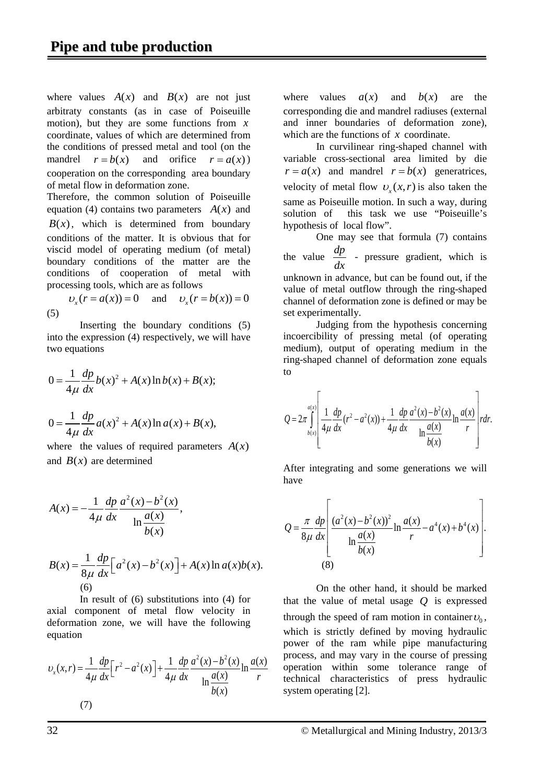where values  $A(x)$  and  $B(x)$  are not just arbitraty constants (as in case of Poiseuille motion), but they are some functions from *x* coordinate, values of which are determined from the conditions of pressed metal and tool (on the mandrel  $r = b(x)$  and orifice  $r = a(x)$ ) cooperation on the corresponding area boundary of metal flow in deformation zone.

Therefore, the common solution of Poiseuille equation (4) contains two parameters  $A(x)$  and  $B(x)$ , which is determined from boundary conditions of the matter. It is obvious that for viscid model of operating medium (of metal) boundary conditions of the matter are the conditions of cooperation of metal with processing tools, which are as follows

 $v(x) = a(x) = 0$  and  $v(x) = b(x) = 0$ (5)

Inserting the boundary conditions (5) into the expression (4) respectively, we will have two equations

$$
0 = \frac{1}{4\mu} \frac{dp}{dx} b(x)^{2} + A(x) \ln b(x) + B(x);
$$

$$
0 = \frac{1}{4\mu} \frac{dp}{dx} a(x)^{2} + A(x) \ln a(x) + B(x),
$$

where the values of required parameters  $A(x)$ and  $B(x)$  are determined

$$
A(x) = -\frac{1}{4\mu} \frac{dp}{dx} \frac{a^{2}(x) - b^{2}(x)}{\ln \frac{a(x)}{b(x)}},
$$
  
\n
$$
B(x) = \frac{1}{8\mu} \frac{dp}{dx} \Big[ a^{2}(x) - b^{2}(x) \Big] + A(x) \ln a(x) b(x).
$$
  
\n(6)

In result of (6) substitutions into (4) for axial component of metal flow velocity in deformation zone, we will have the following equation

$$
v_x(x,r) = \frac{1}{4\mu} \frac{dp}{dx} \left[ r^2 - a^2(x) \right] + \frac{1}{4\mu} \frac{dp}{dx} \frac{a^2(x) - b^2(x)}{\ln \frac{a(x)}{b(x)}} \ln \frac{a(x)}{r}
$$
  
(7)

where values  $a(x)$  and  $b(x)$  are the corresponding die and mandrel radiuses (external and inner boundaries of deformation zone), which are the functions of *x* coordinate.

In curvilinear ring-shaped channel with variable cross-sectional area limited by die  $r = a(x)$  and mandrel  $r = b(x)$  generatrices, velocity of metal flow  $v_r(x,r)$  is also taken the same as Poiseuille motion. In such a way, during solution of this task we use "Poiseuille's hypothesis of local flow".

One may see that formula (7) contains the value  $\frac{dp}{dt}$  $\frac{dP}{dx}$  - pressure gradient, which is unknown in advance, but can be found out, if the value of metal outflow through the ring-shaped channel of deformation zone is defined or may be set experimentally.

Judging from the hypothesis concerning incoercibility of pressing metal (of operating medium), output of operating medium in the ring-shaped channel of deformation zone equals to

$$
Q = 2\pi \int_{b(x)}^{a(x)} \left[ \frac{1}{4\mu} \frac{dp}{dx} (r^2 - a^2(x)) + \frac{1}{4\mu} \frac{dp}{dx} \frac{a^2(x) - b^2(x)}{\ln \frac{a(x)}{b(x)}} \ln \frac{a(x)}{r} \right] r dr.
$$

After integrating and some generations we will have

$$
Q = \frac{\pi}{8\mu} \frac{dp}{dx} \left[ \frac{(a^{2}(x) - b^{2}(x))^{2}}{\ln \frac{a(x)}{b(x)}} \ln \frac{a(x)}{r} - a^{4}(x) + b^{4}(x) \right].
$$
  
(8)

On the other hand, it should be marked that the value of metal usage *Q* is expressed through the speed of ram motion in container  $U_0$ , which is strictly defined by moving hydraulic power of the ram while pipe manufacturing process, and may vary in the course of pressing operation within some tolerance range of technical characteristics of press hydraulic system operating [2].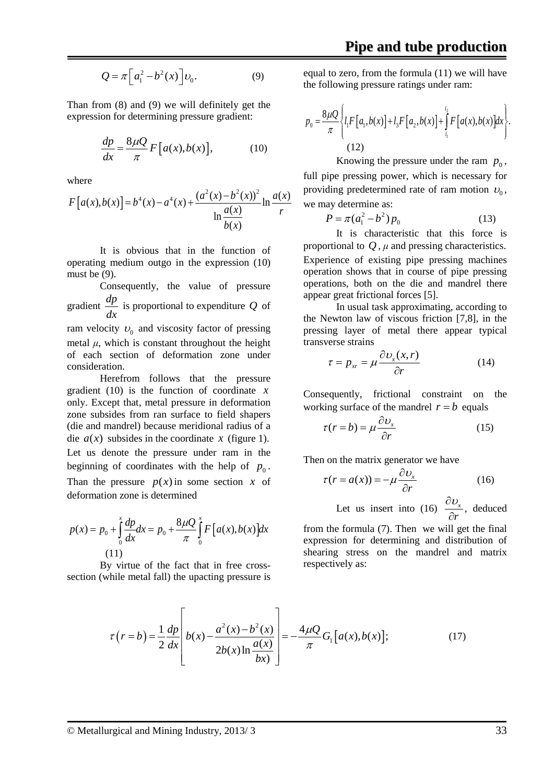$$
Q = \pi \left[ a_1^2 - b^2(x) \right] \nu_0. \tag{9}
$$

Than from (8) and (9) we will definitely get the expression for determining pressure gradient:

$$
\frac{dp}{dx} = \frac{8\mu Q}{\pi} F\left[a(x), b(x)\right],\tag{10}
$$

where

$$
F[a(x),b(x)] = b^{4}(x) - a^{4}(x) + \frac{(a^{2}(x) - b^{2}(x))^{2}}{\ln \frac{a(x)}{b(x)}} \ln \frac{a(x)}{r}
$$

It is obvious that in the function of operating medium outgo in the expression (10) must be  $(9)$ .

Consequently, the value of pressure gradient  $\frac{dp}{dx}$  is proportional to expenditure *Q* of ram velocity  $v_0$  and viscosity factor of pressing metal  $\mu$ , which is constant throughout the height of each section of deformation zone under consideration.

Herefrom follows that the pressure gradient (10) is the function of coordinate *x* only. Except that, metal pressure in deformation zone subsides from ran surface to field shapers (die and mandrel) because meridional radius of a die  $a(x)$  subsides in the coordinate x (figure 1). Let us denote the pressure under ram in the beginning of coordinates with the help of  $p_0$ . Than the pressure  $p(x)$  in some section x of deformation zone is determined

$$
p(x) = p_0 + \int_0^x \frac{dp}{dx} dx = p_0 + \frac{8\mu Q}{\pi} \int_0^x F[a(x), b(x)] dx
$$
  
(11)

By virtue of the fact that in free crosssection (while metal fall) the upacting pressure is

equal to zero, from the formula (11) we will have the following pressure ratings under ram:

$$
p_0 = \frac{8\mu Q}{\pi} \left\{ l_1 F\left[a_1, b(x)\right] + l_3 F\left[a_2, b(x)\right] + \int_{l_1}^{l_2} F\left[a(x), b(x)\right] dx \right\}.
$$
\n(12)

Knowing the pressure under the ram  $p_0$ , full pipe pressing power, which is necessary for providing predetermined rate of ram motion  $\nu_{0}$ , we may determine as:

$$
P = \pi (a_1^2 - b^2) p_0 \tag{13}
$$

It is characteristic that this force is proportional to  $Q$ ,  $\mu$  and pressing characteristics. Experience of existing pipe pressing machines operation shows that in course of pipe pressing operations, both on the die and mandrel there appear great frictional forces [5].

In usual task approximating, according to the Newton law of viscous friction [7,8], in the pressing layer of metal there appear typical transverse strains

$$
\tau = p_{xx} = \mu \frac{\partial v_x(x, r)}{\partial r} \tag{14}
$$

Consequently, frictional constraint on the working surface of the mandrel  $r = b$  equals

$$
\tau(r = b) = \mu \frac{\partial v_x}{\partial r}
$$
 (15)

Then on the matrix generator we have

$$
\tau(r = a(x)) = -\mu \frac{\partial v_x}{\partial r}
$$
 (16)

Let us insert into (16)  $\frac{CO_3}{2}$ *r* ∂<sup>υ</sup>  $\frac{\partial c_x}{\partial r}$ , deduced

from the formula (7). Then we will get the final expression for determining and distribution of shearing stress on the mandrel and matrix respectively as:

$$
\tau(r = b) = \frac{1}{2} \frac{dp}{dx} \left[ b(x) - \frac{a^2(x) - b^2(x)}{2b(x)\ln\frac{a(x)}{bx}} \right] = -\frac{4\mu Q}{\pi} G_1 [a(x), b(x)]; \tag{17}
$$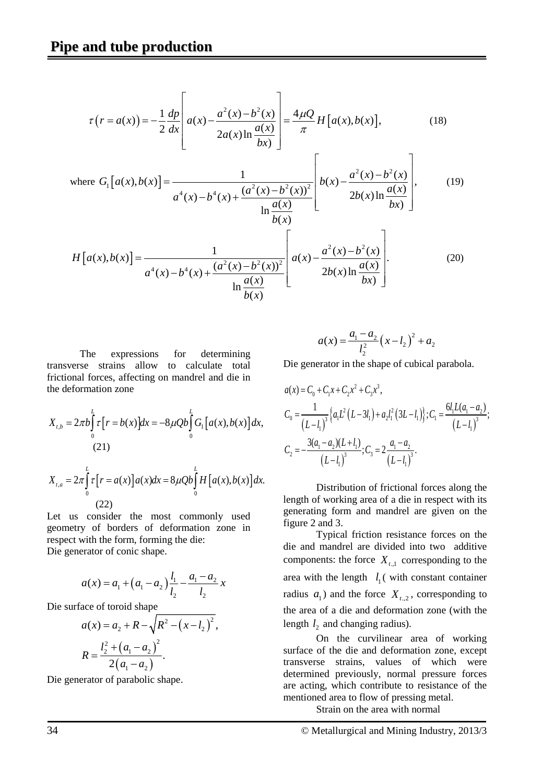$$
\tau(r = a(x)) = -\frac{1}{2} \frac{dp}{dx} \left[ a(x) - \frac{a^2(x) - b^2(x)}{2a(x)\ln\frac{a(x)}{bx}} \right] = \frac{4\mu Q}{\pi} H[a(x), b(x)],
$$
\n(18)

where 
$$
G_1[a(x),b(x)] = \frac{1}{a^4(x) - b^4(x) + \frac{(a^2(x) - b^2(x))^2}{\ln \frac{a(x)}{b(x)}}} \left[ b(x) - \frac{a^2(x) - b^2(x)}{2b(x)\ln \frac{a(x)}{bx}} \right],
$$
 (19)

$$
H\left[a(x), b(x)\right] = \frac{1}{a^4(x) - b^4(x) + \frac{(a^2(x) - b^2(x))^2}{\ln\frac{a(x)}{b(x)}}} \left[a(x) - \frac{a^2(x) - b^2(x)}{2b(x)\ln\frac{a(x)}{bx}}\right].
$$
 (20)

The expressions for determining transverse strains allow to calculate total frictional forces, affecting on mandrel and die in the deformation zone

$$
X_{t,b} = 2\pi b \int_{0}^{L} \tau [r = b(x)] dx = -8\mu Q b \int_{0}^{L} G_{1} [a(x), b(x)] dx,
$$
  
(21)  

$$
X_{t,a} = 2\pi \int_{0}^{L} \tau [r = a(x)] a(x) dx = 8\mu Q b \int_{0}^{L} H [a(x), b(x)] dx.
$$

$$
(22)
$$

Let us consider the most commonly used geometry of borders of deformation zone in respect with the form, forming the die: Die generator of conic shape.

$$
a(x) = a_1 + (a_1 - a_2) \frac{l_1}{l_2} - \frac{a_1 - a_2}{l_2} x
$$

Die surface of toroid shape

$$
a(x) = a_2 + R - \sqrt{R^2 - (x - l_2)^2},
$$
  
\n
$$
R = \frac{l_2^2 + (a_1 - a_2)^2}{2(a_1 - a_2)}.
$$

Die generator of parabolic shape.

$$
a(x) = \frac{a_1 - a_2}{l_2^2} (x - l_2)^2 + a_2
$$

Die generator in the shape of cubical parabola.

$$
a(x) = C_0 + C_1 x + C_2 x^2 + C_3 x^3,
$$
  
\n
$$
C_0 = \frac{1}{(L - l_1)^3} \{a_1 L^2 (L - 3l_1) + a_2 l_1^2 (3L - l_1)\}; C_1 = \frac{6l_1 L(a_1 - a_2)}{(L - l_1)^3};
$$
  
\n
$$
C_2 = -\frac{3(a_1 - a_2)(L + l_1)}{(L - l_1)^3}; C_3 = 2\frac{a_1 - a_2}{(L - l_1)^3}.
$$

Distribution of frictional forces along the length of working area of a die in respect with its generating form and mandrel are given on the figure 2 and 3.

Typical friction resistance forces on the die and mandrel are divided into two additive components: the force  $X_{t,1}$  corresponding to the area with the length  $l_1$  (with constant container radius  $a_1$ ) and the force  $X_{t,2}$ , corresponding to the area of a die and deformation zone (with the length  $l_2$  and changing radius).

On the curvilinear area of working surface of the die and deformation zone, except transverse strains, values of which were determined previously, normal pressure forces are acting, which contribute to resistance of the mentioned area to flow of pressing metal.

Strain on the area with normal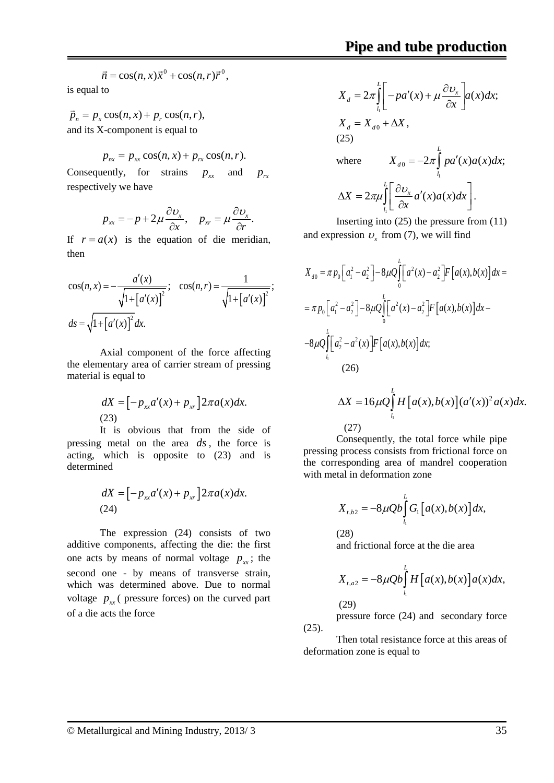$$
\vec{n} = \cos(n, x)\vec{x}^0 + \cos(n, r)\vec{r}^0,
$$

is equal to

 $\vec{p}_n = p_x \cos(n, x) + p_y \cos(n, r),$ and its X-component is equal to

$$
p_{nx} = p_{xx} \cos(n, x) + p_{rx} \cos(n, r).
$$

Consequently, for strains  $p_x$  and  $p_y$ respectively we have

$$
p_{xx} = -p + 2\mu \frac{\partial v_x}{\partial x}, \quad p_{xx} = \mu \frac{\partial v_x}{\partial r}.
$$

If  $r = a(x)$  is the equation of die meridian, then

$$
\cos(n, x) = -\frac{a'(x)}{\sqrt{1 + [a'(x)]^2}}; \quad \cos(n, r) = \frac{1}{\sqrt{1 + [a'(x)]^2}};
$$

$$
ds = \sqrt{1 + [a'(x)]^2} dx.
$$

Axial component of the force affecting the elementary area of carrier stream of pressing material is equal to

$$
dX = \left[ -p_{xx}a'(x) + p_{xx} \right] 2\pi a(x)dx.
$$
\n(23)

It is obvious that from the side of pressing metal on the area *ds* , the force is acting, which is opposite to (23) and is determined

$$
dX = \left[ -p_{xx}a'(x) + p_{xx} \right] 2\pi a(x)dx.
$$
\n(24)

The expression (24) consists of two additive components, affecting the die: the first one acts by means of normal voltage  $p_{xx}$ ; the second one - by means of transverse strain, which was determined above. Due to normal voltage  $p_{rr}$  (pressure forces) on the curved part of a die acts the force

$$
X_{d} = 2\pi \int_{l_{1}}^{L} \left[ -pa'(x) + \mu \frac{\partial v_{x}}{\partial x} \right] a(x) dx;
$$
  
\n
$$
X_{d} = X_{d0} + \Delta X,
$$
  
\n(25)  
\nwhere 
$$
X_{d0} = -2\pi \int_{l_{1}}^{L} pa'(x) a(x) dx;
$$
  
\n
$$
\Delta X = 2\pi \mu \int_{l_{1}}^{L} \left[ \frac{\partial v_{x}}{\partial x} a'(x) a(x) dx \right].
$$

$$
\left[\begin{array}{c}\n\frac{1}{l_1}\left[\frac{1}{l_2}\right] & \frac{1}{l_2}\left[\frac{1}{l_1}\right] \\
\frac{1}{l_2}\left[\frac{1}{l_2}\right] & \frac{1}{l_2}\left[\frac{1}{l_2}\right] \\
\frac{1}{l_2}\left[\frac{1}{l_2}\right] & \frac{1}{l_2}\left[\frac{1}{l_2}\right] \\
\frac{1}{l_2}\left[\frac{1}{l_2}\right] & \frac{1}{l_2}\left[\frac{1}{l_2}\right] \\
\frac{1}{l_2}\left[\frac{1}{l_2}\right] & \frac{1}{l_2}\left[\frac{1}{l_2}\right] \\
\frac{1}{l_2}\left[\frac{1}{l_2}\right] & \frac{1}{l_2}\left[\frac{1}{l_2}\right] \\
\frac{1}{l_2}\left[\frac{1}{l_2}\right] & \frac{1}{l_2}\left[\frac{1}{l_2}\right] \\
\frac{1}{l_2}\left[\frac{1}{l_2}\right] & \frac{1}{l_2}\left[\frac{1}{l_2}\right] \\
\frac{1}{l_2}\left[\frac{1}{l_2}\right] & \frac{1}{l_2}\left[\frac{1}{l_2}\right] \\
\frac{1}{l_2}\left[\frac{1}{l_2}\right] & \frac{1}{l_2}\left[\frac{1}{l_2}\right] \\
\frac{1}{l_2}\left[\frac{1}{l_2}\right] & \frac{1}{l_2}\left[\frac{1}{l_2}\right] \\
\frac{1}{l_2}\left[\frac{1}{l_2}\right] & \frac{1}{l_2}\left[\frac{1}{l_2}\right] \\
\frac{1}{l_2}\left[\frac{1}{l_2}\right] & \frac{1}{l_2}\left[\frac{1}{l_2}\right] \\
\frac{1}{l_2}\left[\frac{1}{l_2}\right] & \frac{1}{l_2}\left[\frac{1}{l_2}\right] \\
\frac{1}{l_2}\left[\frac{1}{l_2}\right] & \frac{1}{l_2}\left[\frac{1}{l_2}\right] \\
\frac{1}{l_2}\left[\frac{1}{l_2}\right] & \frac{1}{l_2}\left[\frac{1}{l_2}\right] \\
\frac{1}{l_2}\left[\frac{1}{l_2}\right] & \frac{1}{l_2}\left[\frac{1}{l_2}\right] \\
\frac
$$

and expression  $v_x$  from (7), we will find

$$
X_{d0} = \pi p_0 \left[ a_1^2 - a_2^2 \right] - 8\mu Q \int_0^L \left[ a^2(x) - a_2^2 \right] F \left[ a(x), b(x) \right] dx =
$$
  
=  $\pi p_0 \left[ a_1^2 - a_2^2 \right] - 8\mu Q \int_0^L \left[ a^2(x) - a_2^2 \right] F \left[ a(x), b(x) \right] dx -$   
 $-8\mu Q \int_0^L \left[ a_2^2 - a^2(x) \right] F \left[ a(x), b(x) \right] dx;$   
(26)

$$
\Delta X = 16\mu Q \int_{l_1}^{L} H\left[a(x), b(x)\right] \left(a'(x)\right)^2 a(x) dx.
$$
\n(27)

Consequently, the total force while pipe pressing process consists from frictional force on the corresponding area of mandrel cooperation with metal in deformation zone

$$
X_{t,b2} = -8\mu Qb \int_{t_1}^L G_1\big[a(x),b(x)\big]dx,
$$

(28)

and frictional force at the die area

$$
X_{t,a2} = -8\mu Qb \int_{l_1}^{L} H\big[a(x),b(x)\big]a(x)dx,
$$

(29)

pressure force (24) and secondary force  $(25)$ .

Then total resistance force at this areas of deformation zone is equal to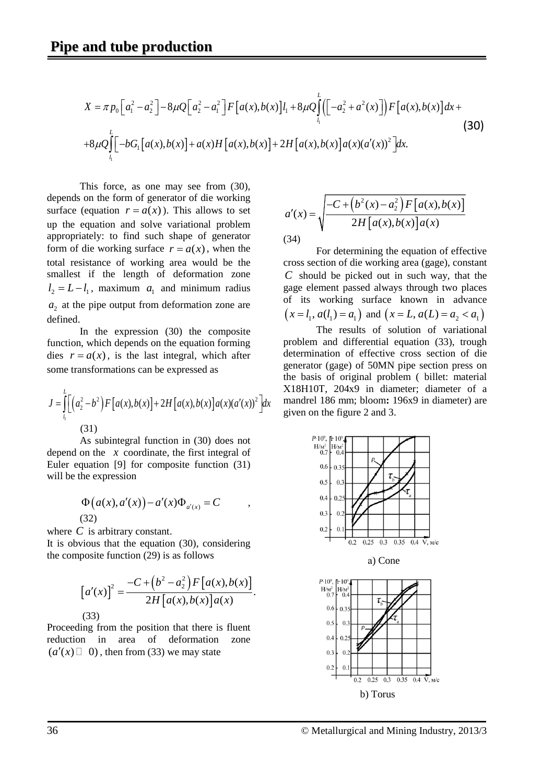$$
X = \pi p_0 \Big[a_1^2 - a_2^2\Big] - 8\mu Q \Big[a_2^2 - a_1^2\Big] F\Big[a(x), b(x)\Big] l_1 + 8\mu Q \int_{l_1}^{L} \Big(\Big[-a_2^2 + a^2(x)\Big]\Big) F\Big[a(x), b(x)\Big] dx +
$$
  
+8\mu Q \int\_{l\_1}^{L} \Big[-bG\_1\Big[a(x), b(x)\Big] + a(x)H\Big[a(x), b(x)\Big] + 2H\Big[a(x), b(x)\Big]a(x)(a'(x))^2\Big] dx. (30)

This force, as one may see from (30), depends on the form of generator of die working surface (equation  $r = a(x)$ ). This allows to set up the equation and solve variational problem appropriately: to find such shape of generator form of die working surface  $r = a(x)$ , when the total resistance of working area would be the smallest if the length of deformation zone  $l_2 = L - l_1$ , maximum  $a_1$  and minimum radius  $a<sub>2</sub>$  at the pipe output from deformation zone are defined.

In the expression (30) the composite function, which depends on the equation forming dies  $r = a(x)$ , is the last integral, which after some transformations can be expressed as

$$
J = \int_{l_1}^{L} \left[ \left( a_2^2 - b^2 \right) F \left[ a(x), b(x) \right] + 2H \left[ a(x), b(x) \right] a(x) (a'(x))^2 \right] dx
$$
\n(31)

As subintegral function in (30) does not depend on the *x* coordinate, the first integral of Euler equation [9] for composite function (31) will be the expression

$$
\Phi\big(a(x), a'(x)\big) - a'(x)\Phi_{a'(x)} = C \qquad ,
$$
\n(32)

where *C* is arbitrary constant.

It is obvious that the equation (30), considering the composite function (29) is as follows

$$
[a'(x)]^2 = \frac{-C + (b^2 - a_2^2)F[a(x), b(x)]}{2H[a(x), b(x)]a(x)}.
$$
  
(33)

Proceeding from the position that there is fluent reduction in area of deformation zone  $(a'(x) \square \ 0)$ , then from (33) we may state

$$
a'(x) = \sqrt{\frac{-C + (b^2(x) - a_2^2)F[a(x), b(x)]}{2H[a(x), b(x)]a(x)}}
$$
\n(34)

For determining the equation of effective cross section of die working area (gage), constant *C* should be picked out in such way, that the gage element passed always through two places of its working surface known in advance  $(x = l_1, a(l_1) = a_1)$  and  $(x = L, a(L) = a_2 < a_1)$ 

The results of solution of variational problem and differential equation (33), trough determination of effective cross section of die generator (gage) of 50MN pipe section press on the basis of original problem ( billet: material Х18Н10Т, 204х9 in diameter; diameter of a mandrel 186 mm; bloom: 196x9 in diameter) are given on the figure 2 and 3.

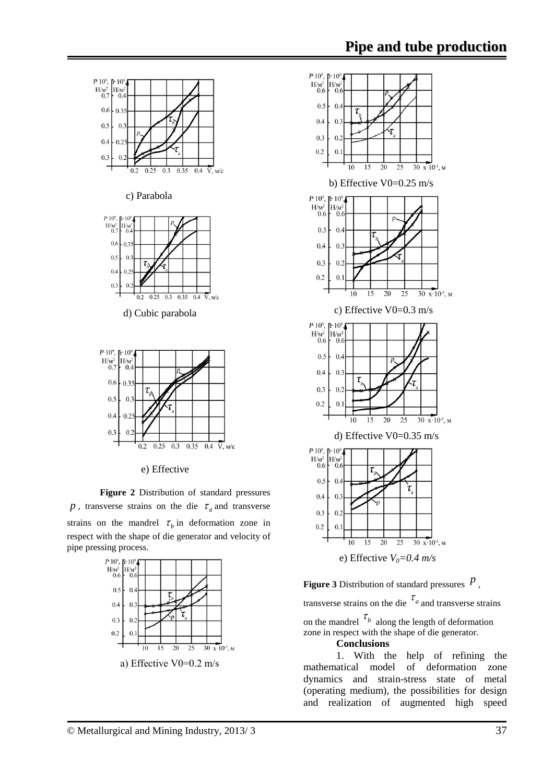

e) Effective

**Figure 2** Distribution of standard pressures *p*, transverse strains on the die  $\tau_a$  and transverse strains on the mandrel  $\tau$ <sub>b</sub> in deformation zone in respect with the shape of die generator and velocity of pipe pressing process.



а) Effective V0=0.2 m/s



**Figure 3** Distribution of standard pressures  $\hat{P}$ ,

transverse strains on the die  $\tau_a$  and transverse strains

on the mandrel  $\tau_b$  along the length of deformation zone in respect with the shape of die generator.

#### **Conclusions**

1. With the help of refining the mathematical model of deformation zone dynamics and strain-stress state of metal (operating medium), the possibilities for design and realization of augmented high speed